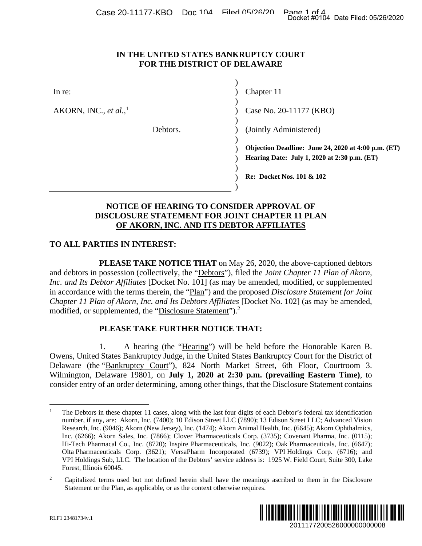#### **IN THE UNITED STATES BANKRUPTCY COURT FOR THE DISTRICT OF DELAWARE**

|                                                                                  | Docket #0104 Date Filed: 05/26/2020                                                                                                                                                                                                                                                                                                                                                                                                                                                                                                                                                                                                                                                                                                                                                                |  |
|----------------------------------------------------------------------------------|----------------------------------------------------------------------------------------------------------------------------------------------------------------------------------------------------------------------------------------------------------------------------------------------------------------------------------------------------------------------------------------------------------------------------------------------------------------------------------------------------------------------------------------------------------------------------------------------------------------------------------------------------------------------------------------------------------------------------------------------------------------------------------------------------|--|
| IN THE UNITED STATES BANKRUPTCY COURT<br>FOR THE DISTRICT OF DELAWARE            |                                                                                                                                                                                                                                                                                                                                                                                                                                                                                                                                                                                                                                                                                                                                                                                                    |  |
| In re:                                                                           | Chapter 11                                                                                                                                                                                                                                                                                                                                                                                                                                                                                                                                                                                                                                                                                                                                                                                         |  |
| AKORN, INC., et al., $^1$                                                        | Case No. 20-11177 (KBO)                                                                                                                                                                                                                                                                                                                                                                                                                                                                                                                                                                                                                                                                                                                                                                            |  |
| Debtors.                                                                         | (Jointly Administered)                                                                                                                                                                                                                                                                                                                                                                                                                                                                                                                                                                                                                                                                                                                                                                             |  |
|                                                                                  | Objection Deadline: June 24, 2020 at 4:00 p.m. (ET)<br>Hearing Date: July 1, 2020 at 2:30 p.m. (ET)                                                                                                                                                                                                                                                                                                                                                                                                                                                                                                                                                                                                                                                                                                |  |
|                                                                                  | Re: Docket Nos. 101 & 102                                                                                                                                                                                                                                                                                                                                                                                                                                                                                                                                                                                                                                                                                                                                                                          |  |
|                                                                                  | NOTICE OF HEARING TO CONSIDER APPROVAL OF<br><b>DISCLOSURE STATEMENT FOR JOINT CHAPTER 11 PLAN</b><br>OF AKORN, INC. AND ITS DEBTOR AFFILIATES                                                                                                                                                                                                                                                                                                                                                                                                                                                                                                                                                                                                                                                     |  |
| <b>TO ALL PARTIES IN INTEREST:</b>                                               |                                                                                                                                                                                                                                                                                                                                                                                                                                                                                                                                                                                                                                                                                                                                                                                                    |  |
| modified, or supplemented, the "Disclosure Statement"). <sup>2</sup>             | <b>PLEASE TAKE NOTICE THAT</b> on May 26, 2020, the above-captioned debtors<br>and debtors in possession (collectively, the "Debtors"), filed the <i>Joint Chapter 11 Plan of Akorn</i> ,<br>Inc. and Its Debtor Affiliates [Docket No. 101] (as may be amended, modified, or supplemented<br>in accordance with the terms therein, the "Plan") and the proposed Disclosure Statement for Joint<br>Chapter 11 Plan of Akorn, Inc. and Its Debtors Affiliates [Docket No. 102] (as may be amended,                                                                                                                                                                                                                                                                                                  |  |
| PLEASE TAKE FURTHER NOTICE THAT:                                                 |                                                                                                                                                                                                                                                                                                                                                                                                                                                                                                                                                                                                                                                                                                                                                                                                    |  |
| 1.                                                                               | A hearing (the "Hearing") will be held before the Honorable Karen B.<br>Owens, United States Bankruptcy Judge, in the United States Bankruptcy Court for the District of<br>Delaware (the "Bankruptcy Court"), 824 North Market Street, 6th Floor, Courtroom 3.<br>Wilmington, Delaware 19801, on July 1, 2020 at 2:30 p.m. (prevailing Eastern Time), to<br>consider entry of an order determining, among other things, that the Disclosure Statement contains                                                                                                                                                                                                                                                                                                                                    |  |
| Forest, Illinois 60045.                                                          | The Debtors in these chapter 11 cases, along with the last four digits of each Debtor's federal tax identification<br>number, if any, are: Akorn, Inc. (7400); 10 Edison Street LLC (7890); 13 Edison Street LLC; Advanced Vision<br>Research, Inc. (9046); Akorn (New Jersey), Inc. (1474); Akorn Animal Health, Inc. (6645); Akorn Ophthalmics,<br>Inc. (6266); Akorn Sales, Inc. (7866); Clover Pharmaceuticals Corp. (3735); Covenant Pharma, Inc. (0115);<br>Hi-Tech Pharmacal Co., Inc. (8720); Inspire Pharmaceuticals, Inc. (9022); Oak Pharmaceuticals, Inc. (6647);<br>Olta Pharmaceuticals Corp. (3621); VersaPharm Incorporated (6739); VPI Holdings Corp. (6716); and<br>VPI Holdings Sub, LLC. The location of the Debtors' service address is: 1925 W. Field Court, Suite 300, Lake |  |
| 2<br>Statement or the Plan, as applicable, or as the context otherwise requires. | Capitalized terms used but not defined herein shall have the meanings ascribed to them in the Disclosure                                                                                                                                                                                                                                                                                                                                                                                                                                                                                                                                                                                                                                                                                           |  |
| RLF1 23481734v.1                                                                 | III III<br>2011177200526000000000008                                                                                                                                                                                                                                                                                                                                                                                                                                                                                                                                                                                                                                                                                                                                                               |  |

## **NOTICE OF HEARING TO CONSIDER APPROVAL OF DISCLOSURE STATEMENT FOR JOINT CHAPTER 11 PLAN OF AKORN, INC. AND ITS DEBTOR AFFILIATES**

## **TO ALL PARTIES IN INTEREST:**

#### **PLEASE TAKE FURTHER NOTICE THAT:**

<sup>2</sup> Capitalized terms used but not defined herein shall have the meanings ascribed to them in the Disclosure Statement or the Plan, as applicable, or as the context otherwise requires.



 $\overline{a}$ 

<sup>1</sup> The Debtors in these chapter 11 cases, along with the last four digits of each Debtor's federal tax identification number, if any, are: Akorn, Inc. (7400); 10 Edison Street LLC (7890); 13 Edison Street LLC; Advanced Vision Research, Inc. (9046); Akorn (New Jersey), Inc. (1474); Akorn Animal Health, Inc. (6645); Akorn Ophthalmics, Inc. (6266); Akorn Sales, Inc. (7866); Clover Pharmaceuticals Corp. (3735); Covenant Pharma, Inc. (0115); Hi-Tech Pharmacal Co., Inc. (8720); Inspire Pharmaceuticals, Inc. (9022); Oak Pharmaceuticals, Inc. (6647); Olta Pharmaceuticals Corp. (3621); VersaPharm Incorporated (6739); VPI Holdings Corp. (6716); and VPI Holdings Sub, LLC. The location of the Debtors' service address is: 1925 W. Field Court, Suite 300, Lake Forest, Illinois 60045.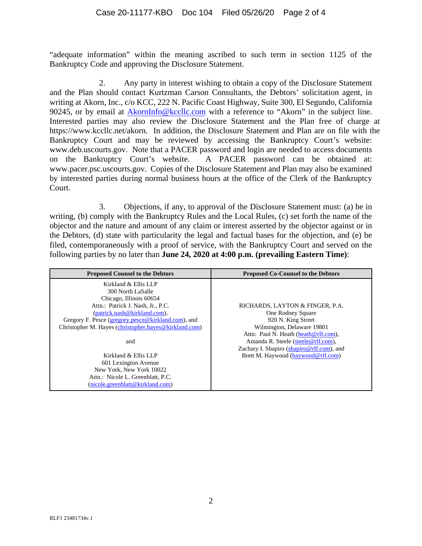"adequate information" within the meaning ascribed to such term in section 1125 of the Bankruptcy Code and approving the Disclosure Statement.

2. Any party in interest wishing to obtain a copy of the Disclosure Statement and the Plan should contact Kurtzman Carson Consultants, the Debtors' solicitation agent, in writing at Akorn, Inc., c/o KCC, 222 N. Pacific Coast Highway, Suite 300, El Segundo, California 90245, or by email at AkornInfo@kccllc.com with a reference to "Akorn" in the subject line. Interested parties may also review the Disclosure Statement and the Plan free of charge at https://www.kccllc.net/akorn. In addition, the Disclosure Statement and Plan are on file with the Bankruptcy Court and may be reviewed by accessing the Bankruptcy Court's website: www.deb.uscourts.gov. Note that a PACER password and login are needed to access documents on the Bankruptcy Court's website. A PACER password can be obtained at: www.pacer.psc.uscourts.gov. Copies of the Disclosure Statement and Plan may also be examined by interested parties during normal business hours at the office of the Clerk of the Bankruptcy Court.

3. Objections, if any, to approval of the Disclosure Statement must: (a) be in writing, (b) comply with the Bankruptcy Rules and the Local Rules, (c) set forth the name of the objector and the nature and amount of any claim or interest asserted by the objector against or in the Debtors, (d) state with particularity the legal and factual bases for the objection, and (e) be filed, contemporaneously with a proof of service, with the Bankruptcy Court and served on the following parties by no later than **June 24, 2020 at 4:00 p.m. (prevailing Eastern Time)**:

| <b>Proposed Counsel to the Debtors</b>                | <b>Proposed Co-Counsel to the Debtors</b> |
|-------------------------------------------------------|-------------------------------------------|
| Kirkland & Ellis LLP                                  |                                           |
| 300 North LaSalle                                     |                                           |
| Chicago, Illinois 60654                               |                                           |
| Attn.: Patrick J. Nash, Jr., P.C.                     | RICHARDS, LAYTON & FINGER, P.A.           |
| (patrick.nash@kirkland.com),                          | One Rodney Square                         |
| Gregory F. Pesce (gregory.pesce@kirkland.com), and    | 920 N. King Street                        |
| Christopher M. Hayes (christopher.hayes@kirkland.com) | Wilmington, Delaware 19801                |
|                                                       | Attn: Paul N. Heath (heath@rlf.com),      |
| and                                                   | Amanda R. Steele (steele@rlf.com),        |
|                                                       | Zachary I. Shapiro (shapiro@rlf.com), and |
| Kirkland & Ellis LLP                                  | Brett M. Haywood (haywood@rlf.com)        |
| 601 Lexington Avenue                                  |                                           |
| New York, New York 10022                              |                                           |
| Attn.: Nicole L. Greenblatt, P.C.                     |                                           |
| (nicole.greenblatt@kirkland.com)                      |                                           |
|                                                       |                                           |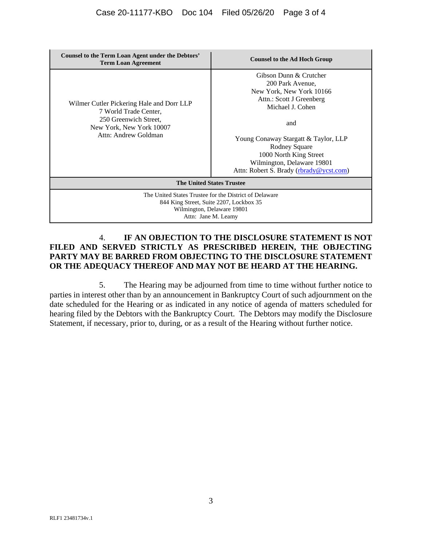| Counsel to the Term Loan Agent under the Debtors'<br><b>Term Loan Agreement</b>                                                                        | <b>Counsel to the Ad Hoch Group</b>                                                                                                                                                                                                                                                       |  |
|--------------------------------------------------------------------------------------------------------------------------------------------------------|-------------------------------------------------------------------------------------------------------------------------------------------------------------------------------------------------------------------------------------------------------------------------------------------|--|
| Wilmer Cutler Pickering Hale and Dorr LLP<br>7 World Trade Center,<br>250 Greenwich Street.<br>New York, New York 10007<br>Attn: Andrew Goldman        | Gibson Dunn & Crutcher<br>200 Park Avenue,<br>New York, New York 10166<br>Attn.: Scott J Greenberg<br>Michael J. Cohen<br>and<br>Young Conaway Stargatt & Taylor, LLP<br>Rodney Square<br>1000 North King Street<br>Wilmington, Delaware 19801<br>Attn: Robert S. Brady (rbrady@ycst.com) |  |
| <b>The United States Trustee</b>                                                                                                                       |                                                                                                                                                                                                                                                                                           |  |
| The United States Trustee for the District of Delaware<br>844 King Street, Suite 2207, Lockbox 35<br>Wilmington, Delaware 19801<br>Attn: Jane M. Leamy |                                                                                                                                                                                                                                                                                           |  |

# 4. **IF AN OBJECTION TO THE DISCLOSURE STATEMENT IS NOT FILED AND SERVED STRICTLY AS PRESCRIBED HEREIN, THE OBJECTING PARTY MAY BE BARRED FROM OBJECTING TO THE DISCLOSURE STATEMENT OR THE ADEQUACY THEREOF AND MAY NOT BE HEARD AT THE HEARING.**

5. The Hearing may be adjourned from time to time without further notice to parties in interest other than by an announcement in Bankruptcy Court of such adjournment on the date scheduled for the Hearing or as indicated in any notice of agenda of matters scheduled for hearing filed by the Debtors with the Bankruptcy Court. The Debtors may modify the Disclosure Statement, if necessary, prior to, during, or as a result of the Hearing without further notice.